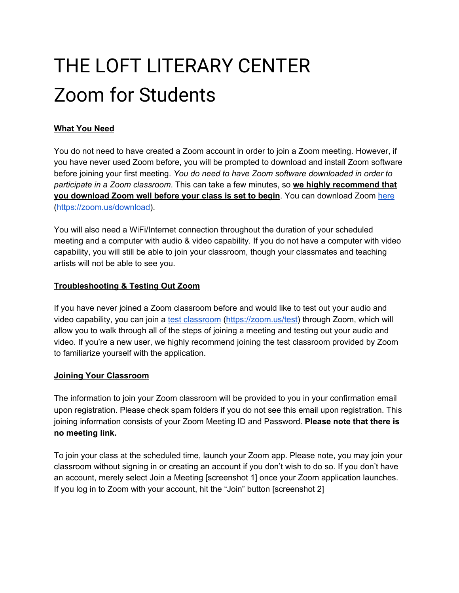# THE LOFT LITERARY CENTER Zoom for Students

# **What You Need**

You do not need to have created a Zoom account in order to join a Zoom meeting. However, if you have never used Zoom before, you will be prompted to download and install Zoom software before joining your first meeting. *You do need to have Zoom software downloaded in order to participate in a Zoom classroom*. This can take a few minutes, so **we highly recommend that you download Zoom well before your class is set to begin**. You can download Zoom [here](https://zoom.us/download) (<https://zoom.us/download>).

You will also need a WiFi/Internet connection throughout the duration of your scheduled meeting and a computer with audio & video capability. If you do not have a computer with video capability, you will still be able to join your classroom, though your classmates and teaching artists will not be able to see you.

# **Troubleshooting & Testing Out Zoom**

If you have never joined a Zoom classroom before and would like to test out your audio and video capability, you can join a test [classroom](https://zoom.us/test) (<https://zoom.us/test>) through Zoom, which will allow you to walk through all of the steps of joining a meeting and testing out your audio and video. If you're a new user, we highly recommend joining the test classroom provided by Zoom to familiarize yourself with the application.

# **Joining Your Classroom**

The information to join your Zoom classroom will be provided to you in your confirmation email upon registration. Please check spam folders if you do not see this email upon registration. This joining information consists of your Zoom Meeting ID and Password. **Please note that there is no meeting link.**

To join your class at the scheduled time, launch your Zoom app. Please note, you may join your classroom without signing in or creating an account if you don't wish to do so. If you don't have an account, merely select Join a Meeting [screenshot 1] once your Zoom application launches. If you log in to Zoom with your account, hit the "Join" button [screenshot 2]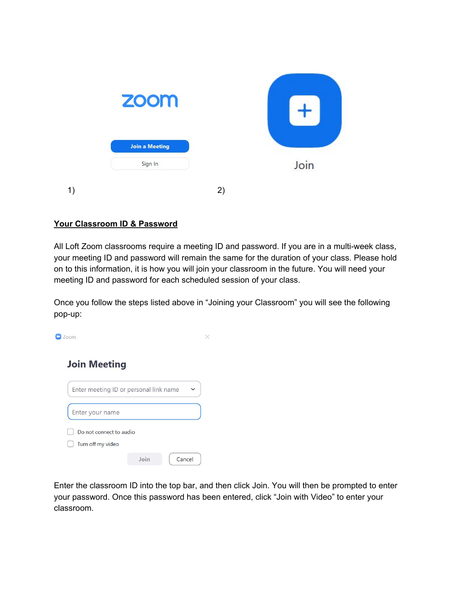

# **Your Classroom ID & Password**

All Loft Zoom classrooms require a meeting ID and password. If you are in a multi-week class, your meeting ID and password will remain the same for the duration of your class. Please hold on to this information, it is how you will join your classroom in the future. You will need your meeting ID and password for each scheduled session of your class.

Once you follow the steps listed above in "Joining your Classroom" you will see the following pop-up:

 $\Box$  Zoom

 $\times$ 

# **Join Meeting**



Enter the classroom ID into the top bar, and then click Join. You will then be prompted to enter your password. Once this password has been entered, click "Join with Video" to enter your classroom.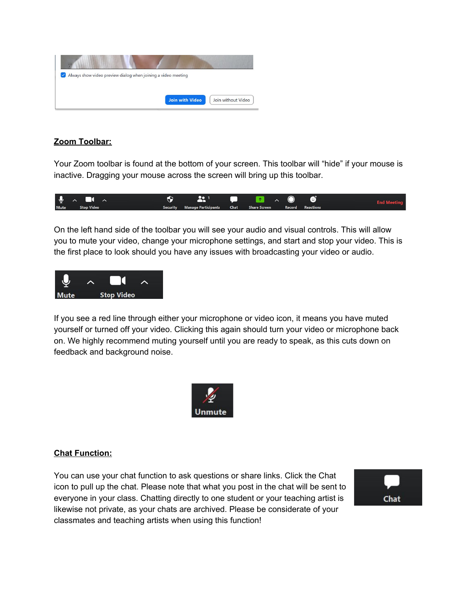

# **Zoom Toolbar:**

Your Zoom toolbar is found at the bottom of your screen. This toolbar will "hide" if your mouse is inactive. Dragging your mouse across the screen will bring up this toolbar.



On the left hand side of the toolbar you will see your audio and visual controls. This will allow you to mute your video, change your microphone settings, and start and stop your video. This is the first place to look should you have any issues with broadcasting your video or audio.



If you see a red line through either your microphone or video icon, it means you have muted yourself or turned off your video. Clicking this again should turn your video or microphone back on. We highly recommend muting yourself until you are ready to speak, as this cuts down on feedback and background noise.



# **Chat Function:**

You can use your chat function to ask questions or share links. Click the Chat icon to pull up the chat. Please note that what you post in the chat will be sent to everyone in your class. Chatting directly to one student or your teaching artist is likewise not private, as your chats are archived. Please be considerate of your classmates and teaching artists when using this function!

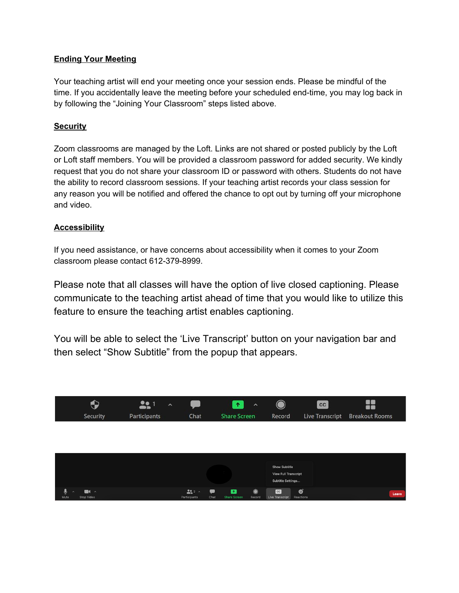# **Ending Your Meeting**

Your teaching artist will end your meeting once your session ends. Please be mindful of the time. If you accidentally leave the meeting before your scheduled end-time, you may log back in by following the "Joining Your Classroom" steps listed above.

# **Security**

Zoom classrooms are managed by the Loft. Links are not shared or posted publicly by the Loft or Loft staff members. You will be provided a classroom password for added security. We kindly request that you do not share your classroom ID or password with others. Students do not have the ability to record classroom sessions. If your teaching artist records your class session for any reason you will be notified and offered the chance to opt out by turning off your microphone and video.

# **Accessibility**

If you need assistance, or have concerns about accessibility when it comes to your Zoom classroom please contact 612-379-8999.

Please note that all classes will have the option of live closed captioning. Please communicate to the teaching artist ahead of time that you would like to utilize this feature to ensure the teaching artist enables captioning.

You will be able to select the 'Live Transcript' button on your navigation bar and then select "Show Subtitle" from the popup that appears.

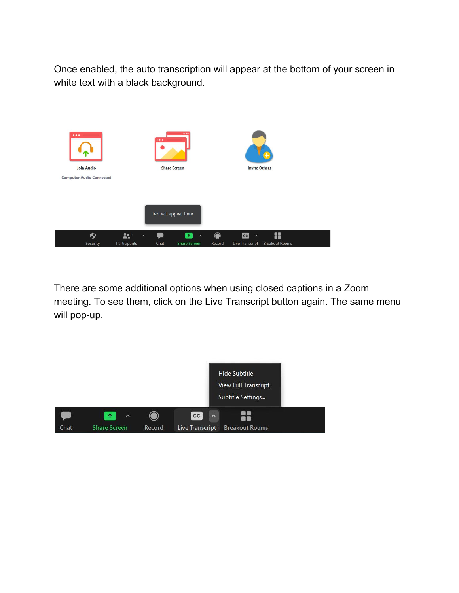Once enabled, the auto transcription will appear at the bottom of your screen in white text with a black background.



There are some additional options when using closed captions in a Zoom meeting. To see them, click on the Live Transcript button again. The same menu will pop-up.

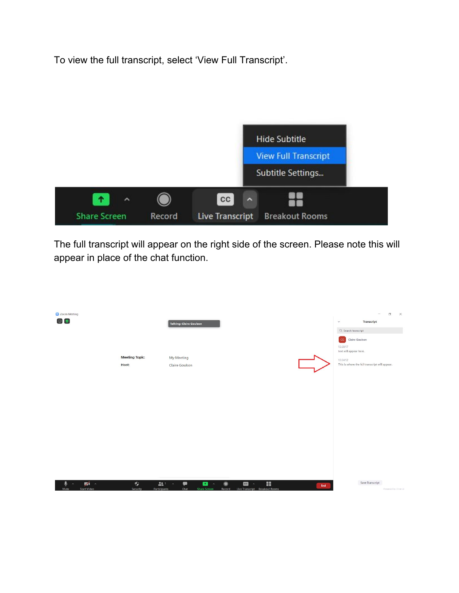To view the full transcript, select 'View Full Transcript'.



The full transcript will appear on the right side of the screen. Please note this will appear in place of the chat function.

| C Zoom Meeting<br>$\circ$ $\bullet$                              |                                              | Talking: Claire Goulson                                                                   |                                                                         |     | $\Box$<br>$\times$<br>$\qquad \qquad -$<br>Transcript<br>$\check{~}$<br>Q Search transcript                           |
|------------------------------------------------------------------|----------------------------------------------|-------------------------------------------------------------------------------------------|-------------------------------------------------------------------------|-----|-----------------------------------------------------------------------------------------------------------------------|
|                                                                  | <b>Meeting Topic:</b><br>Host:               | My Meeting<br>Claire Goulson                                                              |                                                                         |     | CG Claire Goulson<br>13:30:17<br>text will appear here.<br>13:34:12<br>This is where the full transcript will appear. |
|                                                                  |                                              |                                                                                           |                                                                         |     |                                                                                                                       |
|                                                                  |                                              |                                                                                           |                                                                         |     |                                                                                                                       |
| $\frac{1}{2}$<br>∙<br>$\mathbf{A}$<br><b>Start Video</b><br>Mute | $\ddot{\bullet}$<br>Security<br>Participants | $221 - 4$<br>$\bullet$<br>$\bullet$<br>$\hat{\phantom{a}}$<br><b>Share Screen</b><br>Chat | ×<br>$\bullet$<br>cc<br>$\sim$<br>Record Live Transcript Breakout Rooms | End | Save Transcript<br>Powered by Otter.al                                                                                |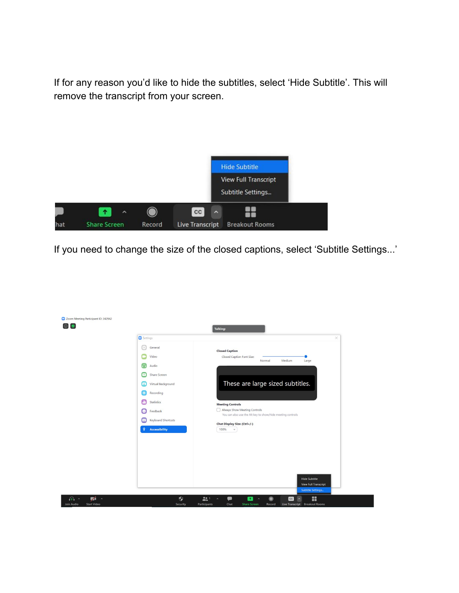If for any reason you'd like to hide the subtitles, select 'Hide Subtitle'. This will remove the transcript from your screen.



If you need to change the size of the closed captions, select 'Subtitle Settings...'